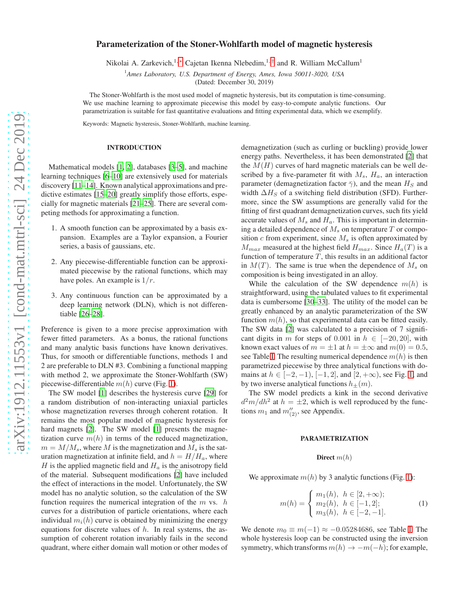# Parameterization of the Stoner-Wohlfarth model of magnetic hysteresis

Nikolai A. Zarkevich,<sup>1,\*</sup> Cajetan Ikenna Nlebedim,<sup>1,[†](#page-3-1)</sup> and R. William McCallum<sup>1</sup>

<sup>1</sup>*Ames Laboratory, U.S. Department of Energy, Ames, Iowa 50011-3020, USA*

(Dated: December 30, 2019)

The Stoner-Wohlfarth is the most used model of magnetic hysteresis, but its computation is time-consuming. We use machine learning to approximate piecewise this model by easy-to-compute analytic functions. Our parametrization is suitable for fast quantitative evaluations and fitting experimental data, which we exemplify.

Keywords: Magnetic hysteresis, Stoner-Wohlfarth, machine learning.

### INTRODUCTION

Mathematical models [\[1,](#page-3-2) [2\]](#page-3-3), databases [\[3](#page-3-4)[–5\]](#page-3-5), and machine learning techniques [\[6](#page-3-6)[–10](#page-3-7)] are extensively used for materials discovery [\[11](#page-3-8)[–14\]](#page-3-9). Known analytical approximations and predictive estimates [\[15](#page-3-10)[–20](#page-4-0)] greatly simplify those efforts, especially for magnetic materials [\[21](#page-4-1)[–25\]](#page-4-2). There are several competing methods for approximating a function.

- 1. A smooth function can be approximated by a basis expansion. Examples are a Taylor expansion, a Fourier series, a basis of gaussians, etc.
- 2. Any piecewise-differentiable function can be approximated piecewise by the rational functions, which may have poles. An example is  $1/r$ .
- 3. Any continuous function can be approximated by a deep learning network (DLN), which is not differentiable [\[26](#page-4-3)[–28\]](#page-4-4).

Preference is given to a more precise approximation with fewer fitted parameters. As a bonus, the rational functions and many analytic basis functions have known derivatives. Thus, for smooth or differentiable functions, methods 1 and 2 are preferable to DLN #3. Combining a functional mapping with method 2, we approximate the Stoner-Wohlfarth (SW) piecewise-differentiable  $m(h)$  curve (Fig. [1\)](#page-1-0).

The SW model [\[1\]](#page-3-2) describes the hysteresis curve [\[29\]](#page-4-5) for a random distribution of non-interacting uniaxial particles whose magnetization reverses through coherent rotation. It remains the most popular model of magnetic hysteresis for hard magnets [\[2\]](#page-3-3). The SW model [\[1\]](#page-3-2) presents the magnetization curve  $m(h)$  in terms of the reduced magnetization,  $m = M/M<sub>s</sub>$ , where M is the magnetization and  $M<sub>s</sub>$  is the saturation magnetization at infinite field, and  $h = H/H_a$ , where  $H$  is the applied magnetic field and  $H_a$  is the anisotropy field of the material. Subsequent modifications [\[2\]](#page-3-3) have included the effect of interactions in the model. Unfortunately, the SW model has no analytic solution, so the calculation of the SW function requires the numerical integration of the  $m$  vs.  $h$ curves for a distribution of particle orientations, where each individual  $m_i(h)$  curve is obtained by minimizing the energy equations for discrete values of  $h$ . In real systems, the assumption of coherent rotation invariably fails in the second quadrant, where either domain wall motion or other modes of demagnetization (such as curling or buckling) provide lower energy paths. Nevertheless, it has been demonstrated [\[2](#page-3-3)] that the  $M(H)$  curves of hard magnetic materials can be well described by a five-parameter fit with  $M_s$ ,  $H_a$ , an interaction parameter (demagnetization factor  $\bar{\gamma}$ ), and the mean  $H_S$  and width  $\Delta H_S$  of a switching field distribution (SFD). Furthermore, since the SW assumptions are generally valid for the fitting of first quadrant demagnetization curves, such fits yield accurate values of  $M_s$  and  $H_a$ . This is important in determining a detailed dependence of  $M_s$  on temperature  $T$  or composition c from experiment, since  $M_s$  is often approximated by  $M_{max}$  measured at the highest field  $H_{max}$ . Since  $H_a(T)$  is a function of temperature  $T$ , this results in an additional factor in  $M(T)$ . The same is true when the dependence of  $M_s$  on composition is being investigated in an alloy.

While the calculation of the SW dependence  $m(h)$  is straightforward, using the tabulated values to fit experimental data is cumbersome [\[30](#page-4-6)[–33\]](#page-4-7). The utility of the model can be greatly enhanced by an analytic parameterization of the SW function  $m(h)$ , so that experimental data can be fitted easily. The SW data [\[2\]](#page-3-3) was calculated to a precision of 7 significant digits in m for steps of 0.001 in  $h \in [-20, 20]$ , with known exact values of  $m = \pm 1$  at  $h = \pm \infty$  and  $m(0) = 0.5$ , see Table [I.](#page-1-1) The resulting numerical dependence  $m(h)$  is then parametrized piecewise by three analytical functions with domains at  $h \in [-2, -1), [-1, 2]$ , and  $[2, +\infty)$ , see Fig. [1,](#page-1-0) and by two inverse analytical functions  $h_{\pm}(m)$ .

The SW model predicts a kink in the second derivative  $d^2m/dh^2$  at  $h = \pm 2$ , which is well reproduced by the functions  $m_1$  and  $m''_{(2)}$ , see Appendix.

### PARAMETRIZATION

### Direct  $m(h)$

We approximate  $m(h)$  by 3 analytic functions (Fig. [1\)](#page-1-0):

$$
m(h) = \begin{cases} m_1(h), & h \in [2, +\infty); \\ m_2(h), & h \in [-1, 2]; \\ m_3(h), & h \in [-2, -1]. \end{cases}
$$
 (1)

We denote  $m_0 \equiv m(-1) \approx -0.05284686$ , see Table [I.](#page-1-1) The whole hysteresis loop can be constructed using the inversion symmetry, which transforms  $m(h) \rightarrow -m(-h)$ ; for example,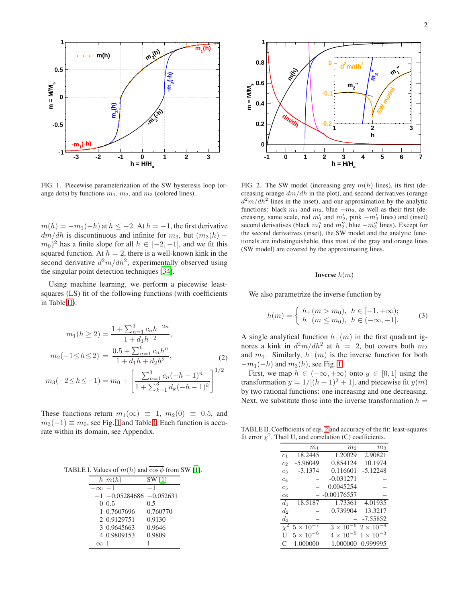

<span id="page-1-0"></span>FIG. 1. Piecewise parameterization of the SW hysteresis loop (orange dots) by functions  $m_1$ ,  $m_2$ , and  $m_3$  (colored lines).

 $m(h) = -m_1(-h)$  at  $h \leq -2$ . At  $h = -1$ , the first derivative  $dm/dh$  is discontinuous and infinite for  $m_3$ , but  $(m_3(h) (m_0)^2$  has a finite slope for all  $h \in [-2, -1]$ , and we fit this squared function. At  $h = 2$ , there is a well-known kink in the second derivative  $d^2m/dh^2$ , experimentally observed using the singular point detection techniques [\[34\]](#page-4-8).

Using machine learning, we perform a piecewise leastsquares (LS) fit of the following functions (with coefficients in Table [II\)](#page-1-2):

$$
m_1(h \ge 2) = \frac{1 + \sum_{n=1}^3 c_n h^{-2n}}{1 + d_1 h^{-2}},
$$
  

$$
m_2(-1 \le h \le 2) = \frac{0.5 + \sum_{n=1}^6 c_n h^n}{1 + d_1 h + d_2 h^2},
$$
 (2)

<span id="page-1-3"></span>
$$
m_3(-2 \le h \le -1) = m_0 + \left[\frac{\sum_{n=1}^3 c_n (-h-1)^n}{1 + \sum_{k=1}^3 d_k (-h-1)^k}\right]^{1/2}
$$

These functions return  $m_1(\infty) \equiv 1$ ,  $m_2(0) \equiv 0.5$ , and  $m_3(-1) \equiv m_0$ , see Fig. [1](#page-1-0) and Table [I.](#page-1-1) Each function is accurate within its domain, see Appendix.

TABLE I. Values of  $m(h)$  and  $\overline{\cos \phi}$  from SW [\[1\]](#page-3-2).

<span id="page-1-1"></span>

|           | $h$ $m(h)$                     | SW [1]   |
|-----------|--------------------------------|----------|
| $-\infty$ | $-1$                           | - 1      |
|           | $-1$ $-0.05284686$ $-0.052631$ |          |
|           | 0.0.5                          | 0.5      |
|           | 1 0.7607696                    | 0.760770 |
|           | 2 0.9129751                    | 0.9130   |
|           | 3 0.9645663                    | 0.9646   |
|           | 4 0.9809153                    | 0.9809   |
|           |                                |          |



<span id="page-1-5"></span>FIG. 2. The SW model (increasing grey  $m(h)$  lines), its first (decreasing orange  $dm/dh$  in the plot), and second derivatives (orange  $d^2m/dh^2$  lines in the inset), and our approximation by the analytic functions: black  $m_1$  and  $m_2$ , blue  $-m_3$ , as well as their first (decreasing, same scale, red  $m'_1$  and  $m'_2$ , pink  $-m'_3$  lines) and (inset) second derivatives (black  $m''_1$  and  $m''_2$ , blue  $-m''_3$  lines). Except for the second derivatives (inset), the SW model and the analytic functionals are indistinguishable, thus most of the gray and orange lines (SW model) are covered by the approximating lines.

## **Inverse**  $h(m)$

We also parametrize the inverse function by

<span id="page-1-4"></span>
$$
h(m) = \begin{cases} h_{+}(m > m_{0}), & h \in [-1, +\infty); \\ h_{-}(m \le m_{0}), & h \in (-\infty, -1]. \end{cases}
$$
 (3)

A single analytical function  $h_+(m)$  in the first quadrant ignores a kink in  $d^2m/dh^2$  at  $h = 2$ , but covers both  $m_2$ and  $m_1$ . Similarly,  $h_-(m)$  is the inverse function for both  $-m_1(-h)$  and  $m_3(h)$ , see Fig. [1.](#page-1-0)

First, we map  $h \in (-\infty, +\infty)$  onto  $y \in [0, 1]$  using the transformation  $y = 1/[(h + 1)^2 + 1]$ , and piecewise fit  $y(m)$ by two rational functions: one increasing and one decreasing. Next, we substitute those into the inverse transformation  $h =$ 

TABLE II. Coefficients of eqs. [2](#page-1-3) and accuracy of the fit: least-squares fit error  $\chi^2$ , Theil U, and correlation (C) coefficients.

<span id="page-1-2"></span>

|                | m <sub>1</sub> | m <sub>2</sub>        | m <sub>3</sub> |
|----------------|----------------|-----------------------|----------------|
| C <sub>1</sub> | 18.2445        | 1.20029               | 2.90821        |
| c <sub>2</sub> | $-5.96049$     | 0.854124              | 10.1974        |
| c <sub>3</sub> | $-3.1374$      | 0.116601              | $-5.12248$     |
| ca             |                | $-0.031271$           |                |
| C <sub>5</sub> |                | 0.0045254             |                |
| $c_6$          |                | $-0.00176557$         |                |
| $d_1$          | 18.5187        | 1.73361               | 4.01935        |
| $d_2$          |                | 0.739904              | 13.3217        |
| $d_3$          |                |                       | $-7.55852$     |
|                | $5 \times 10$  | $3 \times 10$         | $2\times10$    |
| U              | $5 \times 10$  | $-5$<br>$4 \times 10$ | $1 \times 10$  |
| ⊖              | 1.000000       | 1.000000              | 0.999995       |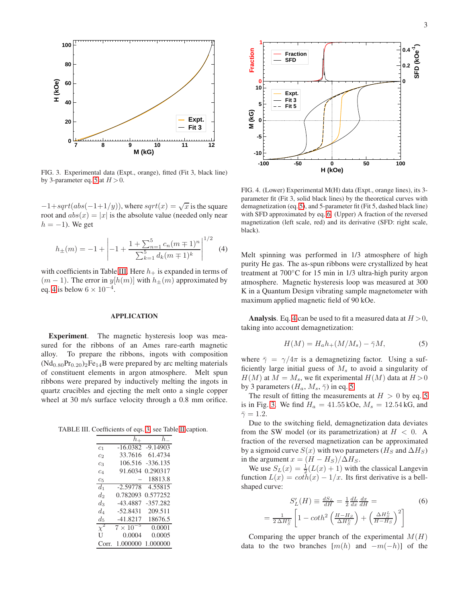

<span id="page-2-4"></span>FIG. 3. Experimental data (Expt., orange), fitted (Fit 3, black line) by 3-parameter eq. [5](#page-2-0) at  $H > 0$ .

 $-1+sqrt(abs(-1+1/y))$ , where  $sqrt(x) = \sqrt{x}$  is the square root and  $abs(x) = |x|$  is the absolute value (needed only near  $h = -1$ ). We get

<span id="page-2-2"></span>
$$
h_{\pm}(m) = -1 + \left| -1 + \frac{1 + \sum_{n=1}^{5} c_n (m \mp 1)^n}{\sum_{k=1}^{5} d_k (m \mp 1)^k} \right|^{1/2}
$$
(4)

with coefficients in Table [III.](#page-2-1) Here  $h_+$  is expanded in terms of  $(m-1)$ . The error in  $y[h(m)]$  with  $h_{\pm}(m)$  approximated by eq. [4](#page-2-2) is below  $6 \times 10^{-4}$ .

### APPLICATION

Experiment. The magnetic hysteresis loop was measured for the ribbons of an Ames rare-earth magnetic alloy. To prepare the ribbons, ingots with composition  $(Nd_{0.80}Pr_{0.20})_2Fe_{14}B$  were prepared by arc melting materials of constituent elements in argon atmosphere. Melt spun ribbons were prepared by inductively melting the ingots in quartz crucibles and ejecting the melt onto a single copper wheel at 30 m/s surface velocity through a 0.8 mm orifice.

TABLE III. Coefficients of eqs. [3,](#page-1-4) see Table [II](#page-1-2) caption.

<span id="page-2-1"></span>

|                | $h_+$                  | $h_-$               |
|----------------|------------------------|---------------------|
| c <sub>1</sub> |                        | $-16.0382 -9.14903$ |
| C2             | 33.7616                | 61.4734             |
| $c_3$          | 106.516                | $-336.135$          |
| c <sub>4</sub> | 91.6034                | 0.290317            |
| C <sub>5</sub> |                        | 18813.8             |
| $d_1$          | $-2.59778$             | 4.55815             |
| $d_2$          | 0.782093               | 0.577252            |
| $d_3$          | $-43.4887$             | $-357.282$          |
| $d_{\it A}$    | $-52.8431$             | 209.511             |
| $d_{5}$        | $-41.8217$             | 18676.5             |
| $\chi^2$       | $\overline{7\times}10$ | 0.0001              |
| U              | 0.0004                 | 0.0005              |
|                | 1.000000               | 1.000000            |



<span id="page-2-5"></span>FIG. 4. (Lower) Experimental M(H) data (Expt., orange lines), its 3 parameter fit (Fit 3, solid black lines) by the theoretical curves with demagnetization (eq. [5\)](#page-2-0), and 5-parameter fit (Fit 5, dashed black line) with SFD approximated by eq. [6.](#page-2-3) (Upper) A fraction of the reversed magnetization (left scale, red) and its derivative (SFD: right scale, black).

Melt spinning was performed in 1/3 atmosphere of high purity He gas. The as-spun ribbons were crystallized by heat treatment at 700◦C for 15 min in 1/3 ultra-high purity argon atmosphere. Magnetic hysteresis loop was measured at 300 K in a Quantum Design vibrating sample magnetometer with maximum applied magnetic field of 90 kOe.

**Analysis.** Eq. [4](#page-2-2) can be used to fit a measured data at  $H > 0$ , taking into account demagnetization:

<span id="page-2-0"></span>
$$
H(M) = H_a h_+(M/M_s) - \bar{\gamma}M,\tag{5}
$$

where  $\bar{\gamma} = \gamma/4\pi$  is a demagnetizing factor. Using a sufficiently large initial guess of  $M_s$  to avoid a singularity of  $H(M)$  at  $M = M_s$ , we fit experimental  $H(M)$  data at  $H > 0$ by 3 parameters  $(H_a, M_s, \bar{\gamma})$  in eq. [5.](#page-2-0)

The result of fitting the measurements at  $H > 0$  by eq. [5](#page-2-0) is in Fig. [3.](#page-2-4) We find  $H_a = 41.55 \text{kOe}$ ,  $M_s = 12.54 \text{kG}$ , and  $\bar{\gamma} = 1.2$ .

Due to the switching field, demagnetization data deviates from the SW model (or its parametrization) at  $H < 0$ . A fraction of the reversed magnetization can be approximated by a sigmoid curve  $S(x)$  with two parameters ( $H_S$  and  $\Delta H_S$ ) in the argument  $x = (H - H<sub>S</sub>)/\Delta H<sub>S</sub>$ .

We use  $S_L(x) = \frac{1}{2}(L(x) + 1)$  with the classical Langevin function  $L(x) = \coth(x) - 1/x$ . Its first derivative is a bellshaped curve:

<span id="page-2-3"></span>
$$
S'_{L}(H) \equiv \frac{dS_{L}}{dH} = \frac{1}{2} \frac{dL}{dx} \frac{dx}{dH} =
$$
\n
$$
= \frac{1}{2 \Delta H_{S}^{L}} \left[ 1 - \coth^{2} \left( \frac{H - H_{S}}{\Delta H_{S}^{L}} \right) + \left( \frac{\Delta H_{S}^{L}}{H - H_{S}} \right)^{2} \right]
$$
\n(6)

Comparing the upper branch of the experimental  $M(H)$ data to the two branches  $[m(h)$  and  $-m(-h)]$  of the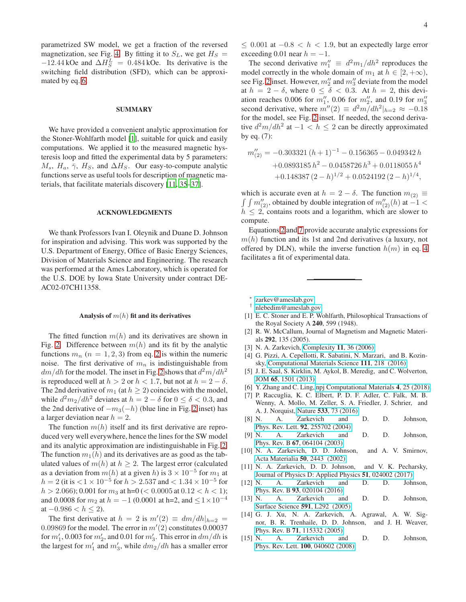parametrized SW model, we get a fraction of the reversed magnetization, see Fig. [4.](#page-2-5) By fitting it to  $S_L$ , we get  $H_S =$  $-12.44 \text{ kOe}$  and  $\Delta H_S^L = 0.484 \text{ kOe}$ . Its derivative is the switching field distribution (SFD), which can be approximated by eq. [6.](#page-2-3)

### SUMMARY

We have provided a convenient analytic approximation for the Stoner-Wohlfarth model [\[1\]](#page-3-2), suitable for quick and easily computations. We applied it to the measured magnetic hysteresis loop and fitted the experimental data by 5 parameters:  $M_s$ ,  $H_a$ ,  $\bar{\gamma}$ ,  $H_s$ , and  $\Delta H_s$ . Our easy-to-compute analytic functions serve as useful tools for description of magnetic materials, that facilitate materials discovery [\[11](#page-3-8), [35](#page-4-9)[–37](#page-4-10)].

### ACKNOWLEDGMENTS

We thank Professors Ivan I. Oleynik and Duane D. Johnson for inspiration and advising. This work was supported by the U.S. Department of Energy, Office of Basic Energy Sciences, Division of Materials Science and Engineering. The research was performed at the Ames Laboratory, which is operated for the U.S. DOE by Iowa State University under contract DE-AC02-07CH11358.

#### Analysis of  $m(h)$  fit and its derivatives

The fitted function  $m(h)$  and its derivatives are shown in Fig. [2.](#page-1-5) Difference between  $m(h)$  and its fit by the analytic functions  $m_n$  ( $n = 1, 2, 3$  $n = 1, 2, 3$  $n = 1, 2, 3$ ) from eq. 2 is within the numeric noise. The first derivative of  $m_n$  is indistinguishable from  $dm/dh$  for the model. The inset in Fig. [2](#page-1-5) shows that  $d^2m/dh^2$ is reproduced well at  $h > 2$  or  $h < 1.7$ , but not at  $h = 2 - \delta$ . The 2nd derivative of  $m_1$  (at  $h \geq 2$ ) coincides with the model, while  $d^2m_2/dh^2$  deviates at  $h = 2 - \delta$  for  $0 \le \delta < 0.3$ , and the [2](#page-1-5)nd derivative of  $-m_3(-h)$  (blue line in Fig. 2 inset) has a larger deviation near  $h = 2$ .

The function  $m(h)$  itself and its first derivative are reproduced very well everywhere, hence the lines for the SW model and its analytic approximation are indistinguishable in Fig. [2.](#page-1-5) The function  $m_1(h)$  and its derivatives are as good as the tabulated values of  $m(h)$  at  $h \geq 2$ . The largest error (calculated as a deviation from  $m(h)$  at a given h) is  $3 \times 10^{-5}$  for  $m_1$  at  $h = 2$  (it is  $< 1 \times 10^{-5}$  for  $h > 2.537$  and  $< 1.34 \times 10^{-5}$  for  $h > 2.066$ ; 0.001 for  $m_3$  at h=0 (< 0.0005 at 0.12 <  $h$  < 1); and 0.0008 for  $m_2$  at  $h = -1$  (0.0001 at h=2, and  $\leq 1 \times 10^{-4}$ at  $-0.986 < h \leq 2$ ).

The first derivative at  $h = 2$  is  $m'(2) \equiv dm/dh|_{h=2}$ 0.09869 for the model. The error in  $m'(2)$  constitutes 0.00037 for  $m'_1$ , 0.003 for  $m'_2$ , and 0.01 for  $m'_3$ . This error in  $dm/dh$  is the largest for  $m'_1$  and  $m'_3$ , while  $dm_2/dh$  has a smaller error

 $≤$  0.001 at  $-0.8 < h < 1.9$ , but an expectedly large error exceeding 0.01 near  $h = -1$ .

The second derivative  $m_1'' \equiv d^2 m_1/dh^2$  reproduces the model correctly in the whole domain of  $m_1$  at  $h \in [2, +\infty)$ , see Fig. [2](#page-1-5) inset. However,  $m''_2$  and  $m''_3$  deviate from the model at  $h = 2 - \delta$ , where  $0 \le \delta < 0.3$ . At  $h = 2$ , this deviation reaches 0.006 for  $m''_1$ , 0.06 for  $m''_2$ , and 0.19 for  $m''_3$ second derivative, where  $m''(2) \equiv d^2m/dh^2|_{h=2} \approx -0.18$ for the model, see Fig. [2](#page-1-5) inset. If needed, the second derivative  $d^2m/dh^2$  at  $-1 < h \le 2$  can be directly approximated by eq. (7):

<span id="page-3-11"></span>
$$
m_{(2)}'' = -0.303321 (h+1)^{-1} - 0.156365 - 0.049342 h
$$
  
+0.0893185 h<sup>2</sup> - 0.0458726 h<sup>3</sup> + 0.0118055 h<sup>4</sup>  
+0.148387 (2-h)<sup>1/2</sup> + 0.0524192 (2-h)<sup>1/4</sup>,

which is accurate even at  $h = 2 - \delta$ . The function  $m_{(2)} \equiv \int \int m''_{(2)}$ , obtained by double integration of  $m''_{(2)}(h)$  at  $-1 <$  $h \leq 2$ , contains roots and a logarithm, which are slower to compute.

Equations [2](#page-1-3) and [7](#page-3-11) provide accurate analytic expressions for  $m(h)$  function and its 1st and 2nd derivatives (a luxury, not offered by DLN), while the inverse function  $h(m)$  in eq. [4](#page-2-2) facilitates a fit of experimental data.

∗ [zarkev@ameslab.gov](mailto:zarkev@ameslab.gov)

- <span id="page-3-1"></span><span id="page-3-0"></span>† [nlebedim@ameslab.gov](mailto:nlebedim@ameslab.gov)
- <span id="page-3-2"></span>[1] E. C. Stoner and E. P. Wohlfarth, Philosophical Transactions of the Royal Society A 240, 599 (1948).
- <span id="page-3-3"></span>[2] R. W. McCallum, Journal of Magnetism and Magnetic Materials 292, 135 (2005).
- <span id="page-3-4"></span>[3] N. A. Zarkevich, [Complexity](http://dx.doi.org/10.1002/cplx.20117) 11, 36 (2006).
- [4] G. Pizzi, A. Cepellotti, R. Sabatini, N. Marzari, and B. Kozinsky, [Computational Materials Science](http://dx.doi.org/ https://doi.org/10.1016/j.commatsci.2015.09.013) 111, 218 (2016).
- <span id="page-3-5"></span>[5] J. E. Saal, S. Kirklin, M. Aykol, B. Meredig, and C. Wolverton, JOM 65[, 1501 \(2013\).](http://dx.doi.org/ 10.1007/s11837-013-0755-4)
- <span id="page-3-6"></span>[6] Y. Zhang and C. Ling, [npj Computational Materials](http://dx.doi.org/10.1038/s41524-018-0081-z) 4, 25 (2018).
- [7] P. Raccuglia, K. C. Elbert, P. D. F. Adler, C. Falk, M. B. Wenny, A. Mollo, M. Zeller, S. A. Friedler, J. Schrier, and A. J. Norquist, Nature 533[, 73 \(2016\).](http://dx.doi.org/10.1038/nature17439)
- [8] N. A. Zarkevich and D. D. Johnson, Phys. Rev. Lett. 92[, 255702 \(2004\).](http://dx.doi.org/10.1103/PhysRevLett.92.255702)
- [9] N. A. Zarkevich and D. D. Johnson, Phys. Rev. B 67[, 064104 \(2003\).](http://dx.doi.org/10.1103/PhysRevB.67.064104)
- <span id="page-3-7"></span>[10] N. A. Zarkevich, D. D. Johnson, and A. V. Smirnov, [Acta Materialia](http://dx.doi.org/https://doi.org/10.1016/S1359-6454(02)00075-7) 50, 2443 (2002).
- <span id="page-3-8"></span>[11] N. A. Zarkevich, D. D. Johnson, and V. K. Pecharsky, [Journal of Physics D: Applied Physics](http://dx.doi.org/10.1088/1361-6463/aa9bd0) 51, 024002 (2017).
- [12] N. A. Zarkevich and D. D. Johnson, Phys. Rev. B 93[, 020104 \(2016\).](http://dx.doi.org/10.1103/PhysRevB.93.020104)
- [13] N. A. Zarkevich and D. D. Johnson, [Surface Science](http://dx.doi.org/https://doi.org/10.1016/j.susc.2005.06.036) 591, L292 (2005).
- <span id="page-3-9"></span>[14] G. J. Xu, N. A. Zarkevich, A. Agrawal, A. W. Signor, B. R. Trenhaile, D. D. Johnson, and J. H. Weaver, Phys. Rev. B 71[, 115332 \(2005\).](http://dx.doi.org/ 10.1103/PhysRevB.71.115332)
- <span id="page-3-10"></span>[15] N. A. Zarkevich and D. D. Johnson, Phys. Rev. Lett. 100[, 040602 \(2008\).](http://dx.doi.org/10.1103/PhysRevLett.100.040602)